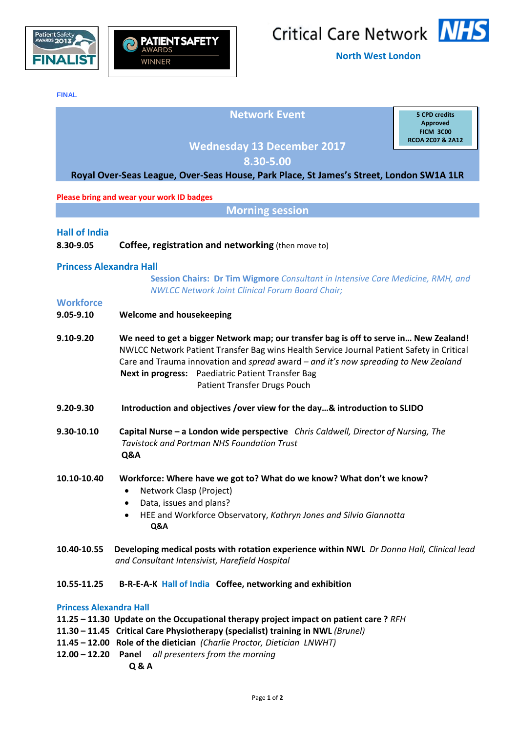



**North West London**

**FINAL** 

# **Network Event**

**5 CPD credits Approved FICM 3C00 RCOA 2C07 & 2A12**

## **Wednesday 13 December 2017**

**8.30‐5.00**

## **Royal Over‐Seas League, Over‐Seas House, Park Place, St James's Street, London SW1A 1LR**

#### **Please bring and wear your work ID badges**

**Morning session**

## **Hall of India**

**8.30‐9.05 Coffee, registration and networking** (then move to)

## **Princess Alexandra Hall**

**Session Chairs: Dr Tim Wigmore** *Consultant in Intensive Care Medicine, RMH, and NWLCC Network Joint Clinical Forum Board Chair;* 

## **Workforce**

- **9.05‐9.10 Welcome and housekeeping**
- 9.10-9.20 We need to get a bigger Network map; our transfer bag is off to serve in... New Zealand! NWLCC Network Patient Transfer Bag wins Health Service Journal Patient Safety in Critical Care and Trauma innovation and *spread* award *– and it's now spreading to New Zealand*   **Next in progress:** Paediatric Patient Transfer Bag Patient Transfer Drugs Pouch
- **9.20‐9.30 Introduction and objectives /over view for the day…& introduction to SLIDO**
- 9.30-10.10 Capital Nurse a London wide perspective Chris Caldwell, Director of Nursing, The  *Tavistock and Portman NHS Foundation Trust* **Q&A**
- **10.10‐10.40 Workforce: Where have we got to? What do we know? What don't we know?**
	- Network Clasp (Project)
	- Data, issues and plans?
	- HEE and Workforce Observatory, *Kathryn Jones and Silvio Giannotta*  **Q&A**
- 10.40-10.55 Developing medical posts with rotation experience within NWL Dr Donna Hall, Clinical lead  *and Consultant Intensivist, Harefield Hospital*

## 10.55-11.25 B-R-E-A-K Hall of India Coffee, networking and exhibition

#### **Princess Alexandra Hall**

- **11.25 – 11.30 Update on the Occupational therapy project impact on patient care ?** *RFH*
- **11.30 – 11.45 Critical Care Physiotherapy (specialist) training in NWL** *(Brunel)*
- **11.45 – 12.00 Role of the dietician** *(Charlie Proctor, Dietician LNWHT)*
- **12.00 – 12.20 Panel**  *all presenters from the morning*
	- **Q & A**